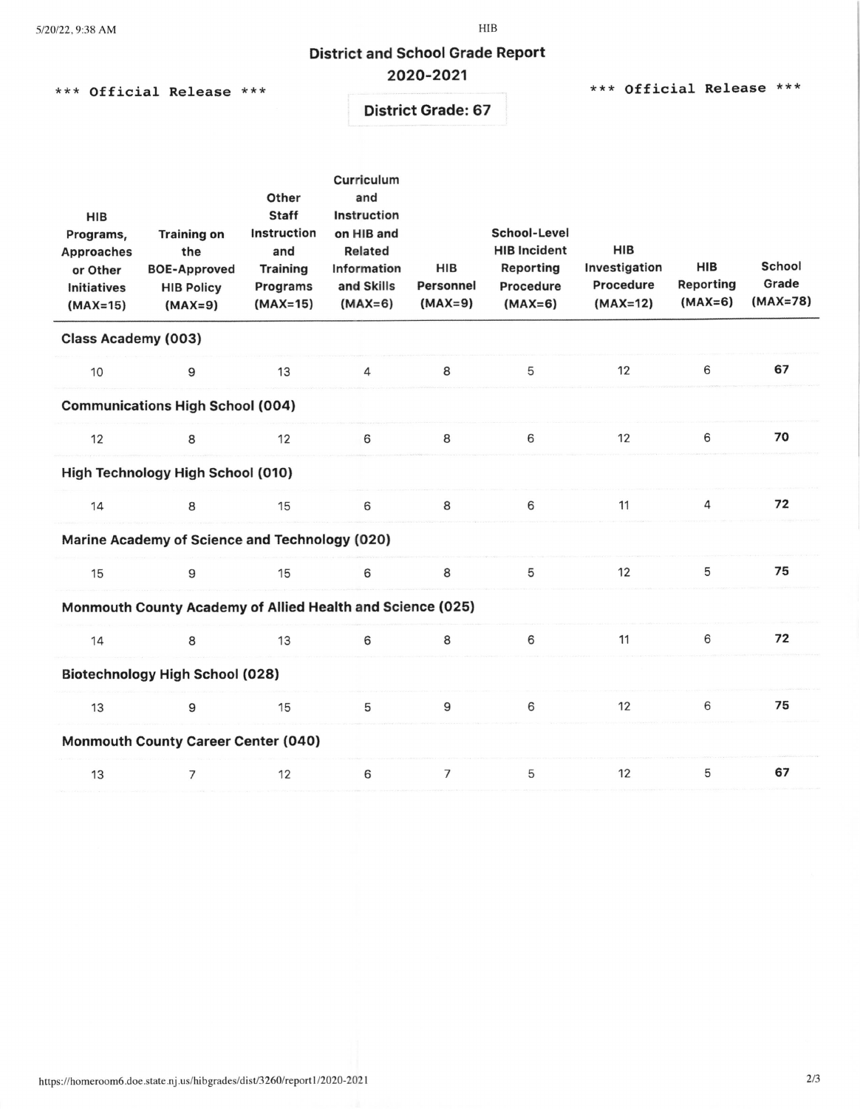# District and School Grade Report

# 2020-2021

\*\*\* Official Release \*\*\* \*\*\* \*\*\* \*\*\* \*\*\* \*\*\* \*\*\* \*\*\* \*\*\* Official Release \*\*\*

District Grade: 67

| <b>HIB</b><br>Programs,<br><b>Approaches</b><br>or Other<br>Initiatives<br>$(MAX=15)$ | <b>Training on</b><br>the<br><b>BOE-Approved</b><br><b>HIB Policy</b><br>$(MAX=9)$ | Other<br><b>Staff</b><br>Instruction<br>and<br><b>Training</b><br>Programs<br>$(MAX=15)$ | Curriculum<br>and<br>Instruction<br>on HIB and<br><b>Related</b><br>Information<br>and Skills<br>$(MAX=6)$ | HIB<br>Personnel<br>$(MAX=9)$ | School-Level<br><b>HIB Incident</b><br>Reporting<br>Procedure<br>$(MAX=6)$ | HIB<br>Investigation<br>Procedure<br>$(MAX=12)$ | HIB<br><b>Reporting</b><br>$(MAX=6)$ | School<br>Grade<br>$(MAX=78)$ |  |
|---------------------------------------------------------------------------------------|------------------------------------------------------------------------------------|------------------------------------------------------------------------------------------|------------------------------------------------------------------------------------------------------------|-------------------------------|----------------------------------------------------------------------------|-------------------------------------------------|--------------------------------------|-------------------------------|--|
| Class Academy (003)                                                                   |                                                                                    |                                                                                          |                                                                                                            |                               |                                                                            |                                                 |                                      |                               |  |
| 10                                                                                    | 9                                                                                  | 13                                                                                       | $\overline{4}$                                                                                             | 8                             | 5                                                                          | 12                                              | 6                                    | 67                            |  |
| <b>Communications High School (004)</b>                                               |                                                                                    |                                                                                          |                                                                                                            |                               |                                                                            |                                                 |                                      |                               |  |
| 12                                                                                    | 8                                                                                  | 12                                                                                       | 6                                                                                                          | 8                             | 6                                                                          | 12                                              | 6                                    | 70                            |  |
| High Technology High School (010)                                                     |                                                                                    |                                                                                          |                                                                                                            |                               |                                                                            |                                                 |                                      |                               |  |
| 14                                                                                    | 8                                                                                  | 15                                                                                       | 6                                                                                                          | 8                             | 6                                                                          | 11                                              | 4                                    | 72                            |  |
| Marine Academy of Science and Technology (020)                                        |                                                                                    |                                                                                          |                                                                                                            |                               |                                                                            |                                                 |                                      |                               |  |
| 15                                                                                    | 9                                                                                  | 15                                                                                       | 6                                                                                                          | 8                             | 5                                                                          | 12                                              | 5                                    | 75                            |  |
|                                                                                       | Monmouth County Academy of Allied Health and Science (025)                         |                                                                                          |                                                                                                            |                               |                                                                            |                                                 |                                      |                               |  |
| 14                                                                                    | 8                                                                                  | 13                                                                                       | 6                                                                                                          | 8                             | 6                                                                          | 11                                              | 6                                    | 72                            |  |
| <b>Biotechnology High School (028)</b>                                                |                                                                                    |                                                                                          |                                                                                                            |                               |                                                                            |                                                 |                                      |                               |  |
| 13                                                                                    | 9                                                                                  | 15                                                                                       | 5                                                                                                          | 9                             | 6                                                                          | 12                                              | 6                                    | 75                            |  |
|                                                                                       | <b>Monmouth County Career Center (040)</b>                                         |                                                                                          |                                                                                                            |                               |                                                                            |                                                 |                                      |                               |  |
| 13                                                                                    | 7                                                                                  | 12                                                                                       | 6                                                                                                          | $\overline{7}$                | 5                                                                          | 12                                              | 5                                    | 67                            |  |